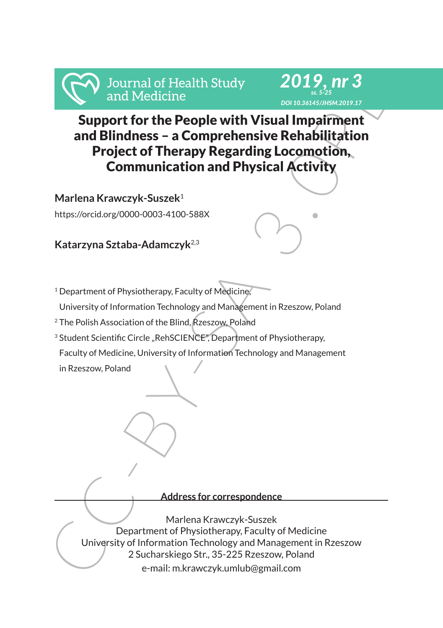



# From the People with Visual and Medicine<br>
Support for the People with Visual Impairment<br>
Support for the People with Visual Impairment<br>
and Bilindness – a Comprehensive Rehabilitation<br>
Project of Therapy Regarding Locomoti Support for the People with Visual Impairment and Blindness – a Comprehensive Rehabilitation Project of Therapy Regarding Locomotion, Communication and Physical Activity

**Marlena Krawczyk-Suszek**<sup>1</sup>

https://orcid.org/0000-0003-4100-588X

**Katarzyna Sztaba-Adamczyk**2,3

<sup>1</sup> Department of Physiotherapy, Faculty of Medicine,

University of Information Technology and Management in Rzeszow, Poland

<sup>2</sup> The Polish Association of the Blind, Rzeszow, Poland

<sup>3</sup> Student Scientific Circle "RehSCIENCE", Department of Physiotherapy,

Faculty of Medicine, University of Information Technology and Management

in Rzeszow, Poland

**Address for correspondence**

Marlena Krawczyk-Suszek Department of Physiotherapy, Faculty of Medicine University of Information Technology and Management in Rzeszow 2 Sucharskiego Str., 35-225 Rzeszow, Poland e-mail: m.krawczyk.umlub@gmail.com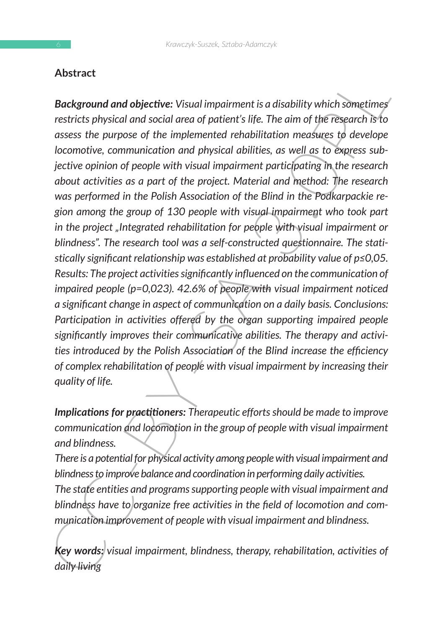# **Abstract**

**Factival and objective:** Visual impairment is a disability which sometimes<br>
restricts physical and social area of patient's life. The aim of the Festerach is to<br>
restricts physical and social area of patient's life. The *Background and objective: Visual impairment is a disability which sometimes restricts physical and social area of patient's life. The aim of the research is to assess the purpose of the implemented rehabilitation measures to develope locomotive, communication and physical abilities, as well as to express subjective opinion of people with visual impairment participating in the research about activities as a part of the project. Material and method: The research was performed in the Polish Association of the Blind in the Podkarpackie region among the group of 130 people with visual impairment who took part in the project "Integrated rehabilitation for people with visual impairment or blindness". The research tool was a self-constructed questionnaire. The statistically significant relationship was established at probability value of p≤0,05. Results: The project activities significantly influenced on the communication of impaired people (p=0,023). 42.6% of people with visual impairment noticed a significant change in aspect of communication on a daily basis. Conclusions: Participation in activities offered by the organ supporting impaired people significantly improves their communicative abilities. The therapy and activities introduced by the Polish Association of the Blind increase the efficiency of complex rehabilitation of people with visual impairment by increasing their quality of life.* 

*Implications for practitioners: Therapeutic efforts should be made to improve communication and locomotion in the group of people with visual impairment and blindness.*

*There is a potential for physical activity among people with visual impairment and blindness to improve balance and coordination in performing daily activities. The state entities and programs supporting people with visual impairment and*  blindness have to organize free activities in the field of locomotion and com*munication improvement of people with visual impairment and blindness.*

*Key words: visual impairment, blindness, therapy, rehabilitation, activities of daily living*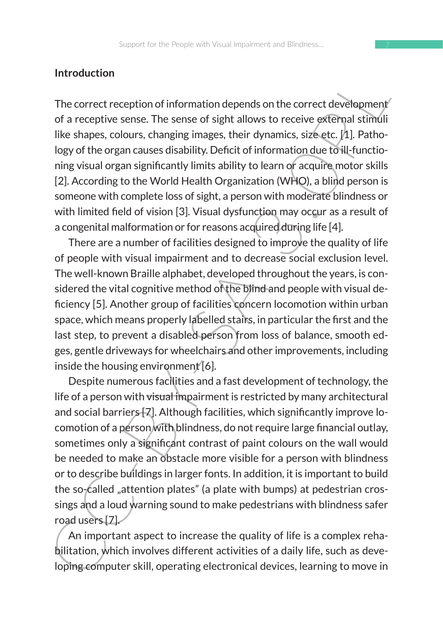## **Introduction**

The correct reception of information depends on the correct development of a receptive sense. The sense of sight allows to receive external stimuli like shapes, colours, changing images, their dynamics, size etc.  $[1]$ . Pathology of the organ causes disability. Deficit of information due to ill-functioning visual organ significantly limits ability to learn or acquire motor skills [2]. According to the World Health Organization (WHO), a blind person is someone with complete loss of sight, a person with moderate blindness or with limited field of vision [3]. Visual dysfunction may occur as a result of a congenital malformation or for reasons acquired during life [4].

There are a number of facilities designed to improve the quality of life of people with visual impairment and to decrease social exclusion level. The well-known Braille alphabet, developed throughout the years, is considered the vital cognitive method of the blind and people with visual deficiency [5]. Another group of facilities concern locomotion within urban space, which means properly labelled stairs, in particular the first and the last step, to prevent a disabled person from loss of balance, smooth edges, gentle driveways for wheelchairs and other improvements, including inside the housing environment<sup>[6]</sup>.

Introduction<br>
The correct reception of information depends on the correct development<br>
of a receptive sense. The sense of sight allows to receive external stimula<br>
like shapes, colours, changing images, their dynamics, si Despite numerous facilities and a fast development of technology, the life of a person with visual impairment is restricted by many architectural and social barriers [7]. Although facilities, which significantly improve locomotion of a person with blindness, do not require large financial outlay, sometimes only a significant contrast of paint colours on the wall would be needed to make an obstacle more visible for a person with blindness or to describe buildings in larger fonts. In addition, it is important to build the so-called "attention plates" (a plate with bumps) at pedestrian crossings and a loud warning sound to make pedestrians with blindness safer road users [7].

An important aspect to increase the quality of life is a complex rehabilitation, which involves different activities of a daily life, such as developing computer skill, operating electronical devices, learning to move in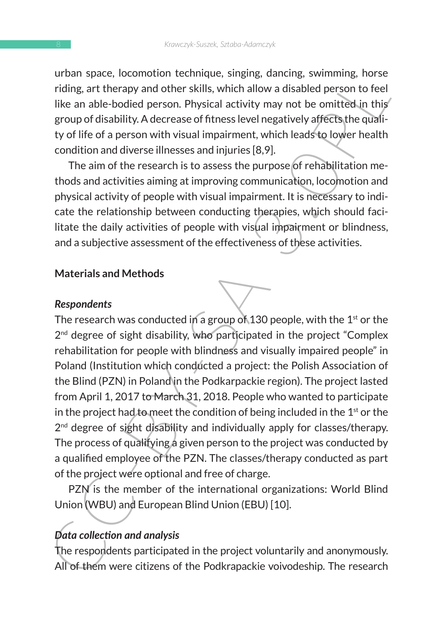urban space, locomotion technique, singing, dancing, swimming, horse riding, art therapy and other skills, which allow a disabled person to feel like an able-bodied person. Physical activity may not be omitted in this group of disability. A decrease of fitness level negatively affects the quality of life of a person with visual impairment, which leads to lower health condition and diverse illnesses and injuries [8,9].

The aim of the research is to assess the purpose of rehabilitation methods and activities aiming at improving communication, locomotion and physical activity of people with visual impairment. It is necessary to indicate the relationship between conducting therapies, which should facilitate the daily activities of people with visual impairment or blindness, and a subjective assessment of the effectiveness of these activities.

#### **Materials and Methods**

#### *Respondents*

ordain space, totomotion tecningles, singly, danting, sarther and reduced by reduced and reduced by the response of the like an able-bodied person. Physical activity may not be omitted in this group of disability. A decre The research was conducted in a group of 130 people, with the  $1^{st}$  or the  $2<sup>nd</sup>$  degree of sight disability, who participated in the project "Complex rehabilitation for people with blindness and visually impaired people" in Poland (Institution which conducted a project: the Polish Association of the Blind (PZN) in Poland in the Podkarpackie region). The project lasted from April 1, 2017 to March 31, 2018. People who wanted to participate in the project had to meet the condition of being included in the  $1<sup>st</sup>$  or the  $2<sup>nd</sup>$  degree of sight disability and individually apply for classes/therapy. The process of qualifying a given person to the project was conducted by a qualified employee of the PZN. The classes/therapy conducted as part of the project were optional and free of charge.

PZN is the member of the international organizations: World Blind Union (WBU) and European Blind Union (EBU) [10].

## *Data collection and analysis*

The respondents participated in the project voluntarily and anonymously. All of them were citizens of the Podkrapackie voivodeship. The research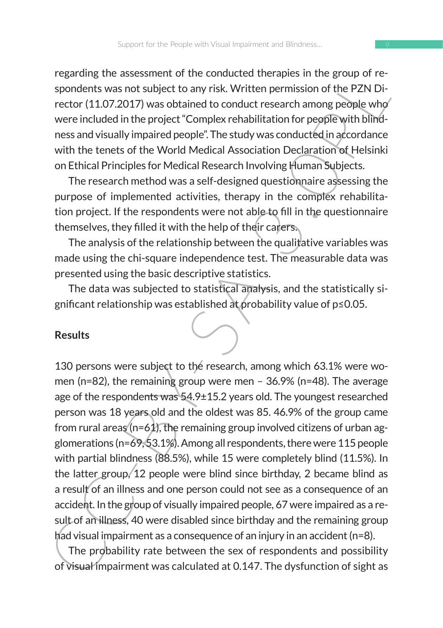regarding the assessment of the conducted therapies in the group of respondents was not subject to any risk. Written permission of the PZN Director (11.07.2017) was obtained to conduct research among people who were included in the project "Complex rehabilitation for people with blindness and visually impaired people". The study was conducted in accordance with the tenets of the World Medical Association Declaration of Helsinki on Ethical Principles for Medical Research Involving Human Subjects.

The research method was a self-designed questionnaire assessing the purpose of implemented activities, therapy in the complex rehabilitation project. If the respondents were not able to fill in the questionnaire themselves, they filled it with the help of their carers.

The analysis of the relationship between the qualitative variables was made using the chi-square independence test. The measurable data was presented using the basic descriptive statistics.

The data was subjected to statistical analysis, and the statistically significant relationship was established at probability value of p≤0.05.

#### **Results**

Figuring the assessment to the contoucted the figurity and redictions and responsible and the proponents was not subject to any risk. Written permission of the PZN Director (11.07.2017) was obtained to conduct research am 130 persons were subject to the research, among which 63.1% were women (n=82), the remaining group were men – 36.9% (n=48). The average age of the respondents was 54.9±15.2 years old. The youngest researched person was 18 years old and the oldest was 85. 46.9% of the group came from rural areas ( $n=61$ ), the remaining group involved citizens of urban agglomerations (n=69, 53.1%). Among all respondents, there were 115 people with partial blindness (88.5%), while 15 were completely blind (11.5%). In the latter group, 12 people were blind since birthday, 2 became blind as a result of an illness and one person could not see as a consequence of an accident. In the group of visually impaired people, 67 were impaired as a result of an illness, 40 were disabled since birthday and the remaining group had visual impairment as a consequence of an injury in an accident (n=8).

The probability rate between the sex of respondents and possibility of visual impairment was calculated at 0.147. The dysfunction of sight as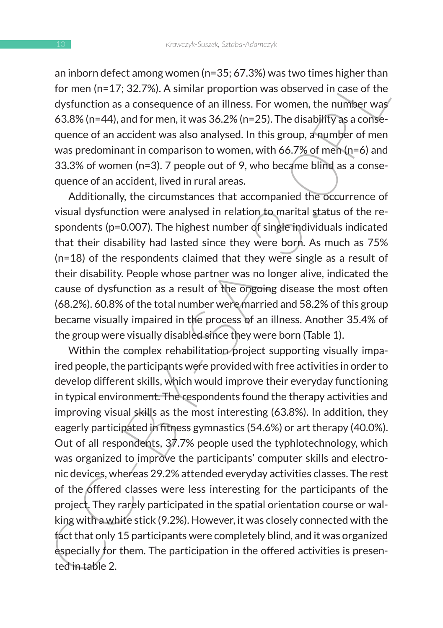an inborn defect among women (n=35; 67.3%) was two times higher than for men (n=17; 32.7%). A similar proportion was observed in case of the dysfunction as a consequence of an illness. For women, the number was 63.8% (n=44), and for men, it was 36.2% (n=25). The disability as a consequence of an accident was also analysed. In this group, a number of men was predominant in comparison to women, with 66.7% of men (n=6) and 33.3% of women (n=3). 7 people out of 9, who became blind as a consequence of an accident, lived in rural areas.

Additionally, the circumstances that accompanied the occurrence of visual dysfunction were analysed in relation to marital status of the respondents (p=0.007). The highest number of single individuals indicated that their disability had lasted since they were born. As much as 75% (n=18) of the respondents claimed that they were single as a result of their disability. People whose partner was no longer alive, indicated the cause of dysfunction as a result of the ongoing disease the most often (68.2%). 60.8% of the total number were married and 58.2% of this group became visually impaired in the process of an illness. Another 35.4% of the group were visually disabled since they were born (Table 1).

arminorineued. annothed that proportion was boserved in case of the dysfunction as a consequence of an illness. For women, the number was  $63.8\%$  (n=42), a2.7%). A similar proportion was observed in case of the dysfuncti Within the complex rehabilitation project supporting visually impaired people, the participants were provided with free activities in order to develop different skills, which would improve their everyday functioning in typical environment. The respondents found the therapy activities and improving visual skills as the most interesting (63.8%). In addition, they eagerly participated in fitness gymnastics (54.6%) or art therapy (40.0%). Out of all respondents, 37.7% people used the typhlotechnology, which was organized to improve the participants' computer skills and electronic devices, whereas 29.2% attended everyday activities classes. The rest of the offered classes were less interesting for the participants of the project. They rarely participated in the spatial orientation course or walking with a white stick (9.2%). However, it was closely connected with the fact that only 15 participants were completely blind, and it was organized especially for them. The participation in the offered activities is presented in table 2.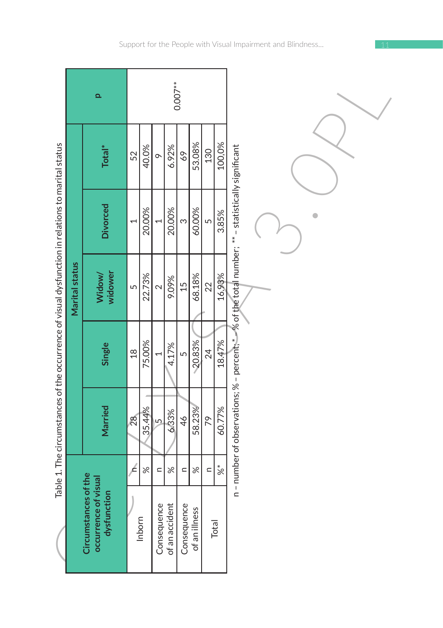|                                                                                                   |                       | Q                                                           |                 |          |                |                | $0.007**$      |               |            |               |                                                                                                  |
|---------------------------------------------------------------------------------------------------|-----------------------|-------------------------------------------------------------|-----------------|----------|----------------|----------------|----------------|---------------|------------|---------------|--------------------------------------------------------------------------------------------------|
|                                                                                                   |                       | Total*                                                      | 52              | 40.0%    | $\circ$        | 6.92%          | 69             | 53.08%        | 130        | 100,0%        |                                                                                                  |
|                                                                                                   |                       | <b>Divorced</b>                                             | $\overline{ }$  | 20.00%   |                | 20.00%         | $\infty$       | 60.00%        | $\sqrt{2}$ | 3.85%         |                                                                                                  |
|                                                                                                   | <b>Marital status</b> | widower<br>Widow/                                           | $\sqrt{2}$      | 22.73%   | $\sim$         | 9.09%          | $\frac{15}{2}$ | 68.18%        | 22         | 16.93%        |                                                                                                  |
| Table 1. The circumstances of the occurrence of visual dysfunction in relations to marital status |                       | Single                                                      | $\frac{8}{10}$  | 75.00%   |                | 4.17%          | LN             | 20.83%        | 24         | 18.47%        | n - number of observations; % - percent; *-% of the total number; ** - statistically significant |
|                                                                                                   |                       | Married                                                     | $\overline{28}$ | 35.44%   | $\overline{5}$ | 6.33%          | 46             | 58.23%        | 79         | 60.77%        |                                                                                                  |
|                                                                                                   |                       |                                                             | £               | $\aleph$ | $\subset$      | $\aleph$       | $\subset$      | $\aleph$      | $\subset$  | $\frac{1}{8}$ |                                                                                                  |
|                                                                                                   |                       | Circumstances of the<br>occurrence of visual<br>dysfunction |                 | Inborn   | Consequence    | of an accident | Consequence    | of an illness |            | Total         |                                                                                                  |

Support for the People with Visual Impairment and Blindness…

 $\overline{\phantom{0}}$ 

r

÷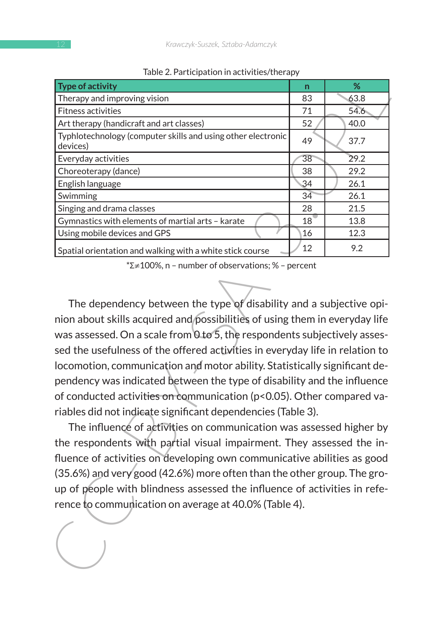| rable 2. Fai ticipation in activities/therapy                                                            |    |      |  |  |  |  |  |  |  |  |
|----------------------------------------------------------------------------------------------------------|----|------|--|--|--|--|--|--|--|--|
| <b>Type of activity</b>                                                                                  | n  | %    |  |  |  |  |  |  |  |  |
| Therapy and improving vision                                                                             | 83 | 63.8 |  |  |  |  |  |  |  |  |
| Fitness activities                                                                                       | 71 | 54.6 |  |  |  |  |  |  |  |  |
| Art therapy (handicraft and art classes)<br>Typhlotechnology (computer skills and using other electronic | 52 | 40.0 |  |  |  |  |  |  |  |  |
| devices)                                                                                                 | 49 | 37.7 |  |  |  |  |  |  |  |  |
| Everyday activities                                                                                      | 38 | 29.2 |  |  |  |  |  |  |  |  |
| Choreoterapy (dance)                                                                                     | 38 | 29.2 |  |  |  |  |  |  |  |  |
| English language                                                                                         | 34 | 26.1 |  |  |  |  |  |  |  |  |
| Swimming                                                                                                 | 34 | 26.1 |  |  |  |  |  |  |  |  |
| Singing and drama classes                                                                                | 28 | 21.5 |  |  |  |  |  |  |  |  |
| Gymnastics with elements of martial arts - karate                                                        | 18 | 13.8 |  |  |  |  |  |  |  |  |
| Using mobile devices and GPS                                                                             | 16 | 12.3 |  |  |  |  |  |  |  |  |
| Spatial orientation and walking with a white stick course                                                | 12 | 9.2  |  |  |  |  |  |  |  |  |
| *Σ≠100%, n - number of observations; % - percent                                                         |    |      |  |  |  |  |  |  |  |  |
|                                                                                                          |    |      |  |  |  |  |  |  |  |  |
|                                                                                                          |    |      |  |  |  |  |  |  |  |  |
| The dependency between the type of disability and a subjective opi-                                      |    |      |  |  |  |  |  |  |  |  |
| nion about skills acquired and possibilities of using them in everyday life                              |    |      |  |  |  |  |  |  |  |  |
| was assessed. On a scale from 0 to 5, the respondents subjectively asses-                                |    |      |  |  |  |  |  |  |  |  |
| sed the usefulness of the offered activities in everyday life in relation to                             |    |      |  |  |  |  |  |  |  |  |
| locomotion, communication and motor ability. Statistically significant de-                               |    |      |  |  |  |  |  |  |  |  |
|                                                                                                          |    |      |  |  |  |  |  |  |  |  |
| pendency was indicated between the type of disability and the influence                                  |    |      |  |  |  |  |  |  |  |  |
| of conducted activities on communication (p<0.05). Other compared va-                                    |    |      |  |  |  |  |  |  |  |  |
| riables did not indicate significant dependencies (Table 3).                                             |    |      |  |  |  |  |  |  |  |  |
| The influence of activities on communication was assessed higher by                                      |    |      |  |  |  |  |  |  |  |  |
| the respondents with partial visual impairment. They assessed the in-                                    |    |      |  |  |  |  |  |  |  |  |
|                                                                                                          |    |      |  |  |  |  |  |  |  |  |
| fluence of activities on developing own communicative abilities as good                                  |    |      |  |  |  |  |  |  |  |  |
| (35.6%) and very good (42.6%) more often than the other group. The gro-                                  |    |      |  |  |  |  |  |  |  |  |
| up of people with blindness assessed the influence of activities in refe-                                |    |      |  |  |  |  |  |  |  |  |
| rence to communication on average at 40.0% (Table 4).                                                    |    |      |  |  |  |  |  |  |  |  |
|                                                                                                          |    |      |  |  |  |  |  |  |  |  |
|                                                                                                          |    |      |  |  |  |  |  |  |  |  |
|                                                                                                          |    |      |  |  |  |  |  |  |  |  |
|                                                                                                          |    |      |  |  |  |  |  |  |  |  |
|                                                                                                          |    |      |  |  |  |  |  |  |  |  |
|                                                                                                          |    |      |  |  |  |  |  |  |  |  |

Table 2. Participation in activities/therapy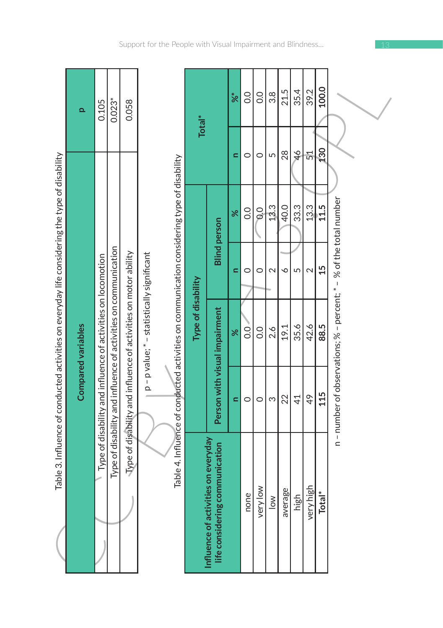|                                                                                                |                           | 0.105                                                        | $0.023*$                                                        | 0.058                                                                   |                                          |                                                                                            | Total <sup>*</sup> |
|------------------------------------------------------------------------------------------------|---------------------------|--------------------------------------------------------------|-----------------------------------------------------------------|-------------------------------------------------------------------------|------------------------------------------|--------------------------------------------------------------------------------------------|--------------------|
| Table 3. Influence of conducted activities on everyday life considering the type of disability | <b>Compared variables</b> | Type of disability and influence of activities on locomotion | Type of disability and influence of activities on communication | $\Delta$ are of disability and influence of activities on motor ability | p-p value; * - statistically significant | Table 4. Influence of conducted activities on communication considering type of disability | Type of disability |
|                                                                                                |                           |                                                              |                                                                 |                                                                         |                                          |                                                                                            |                    |

|                                                                                                | $\Omega$           | 0.105                                                        | $0.023*$                                                        | 0.058                                                           |                                                                                                                                        | Total <sup>*</sup> |                                                                           | %            | $\overline{0}$ | O.O            | 3.8            | 21.5                  | 35.4          | 39.2           | 100.0              |                                              |  |
|------------------------------------------------------------------------------------------------|--------------------|--------------------------------------------------------------|-----------------------------------------------------------------|-----------------------------------------------------------------|----------------------------------------------------------------------------------------------------------------------------------------|--------------------|---------------------------------------------------------------------------|--------------|----------------|----------------|----------------|-----------------------|---------------|----------------|--------------------|----------------------------------------------|--|
|                                                                                                |                    |                                                              |                                                                 |                                                                 |                                                                                                                                        |                    |                                                                           | ⋍            | 0              | 0              | 5              | 28                    | $\frac{4}{6}$ | 51             | 130                |                                              |  |
|                                                                                                |                    |                                                              |                                                                 |                                                                 |                                                                                                                                        |                    |                                                                           | $\aleph$     | O.O            | $\frac{0}{2}$  | 13.3           | 40.0                  | 33.3          | 13.3           | 11.5               | % of the total number                        |  |
|                                                                                                |                    |                                                              |                                                                 |                                                                 | Table 4. Influence of conducted activities on communication considering type of disability<br>p-p value; * - statistically significant |                    | <b>Blind</b> person                                                       | $\mathbf{r}$ | $\circ$        | 0              | $\sim$         | $\breve{\phantom{0}}$ | 5             | $\sim$         | 15                 |                                              |  |
| Table 3. Influence of conducted activities on everyday life considering the type of disability | Compared variables | Type of disability and influence of activities on locomotion | Type of disability and influence of activities on communication | Type of disability and influence of activities on motor ability |                                                                                                                                        | Type of disability |                                                                           | ৯ৎ           | $\overline{0}$ | $\overline{0}$ | 2.6            | 19.1                  | 35.6          | 42.6           | 88.5               | n - number of observations; % - percent; * - |  |
|                                                                                                |                    |                                                              |                                                                 |                                                                 |                                                                                                                                        |                    | Person with visual impairment                                             | $\mathbf{r}$ | $\circ$        | 0              | S              | 22                    | 41            | 49             | 115                |                                              |  |
|                                                                                                |                    |                                                              |                                                                 |                                                                 |                                                                                                                                        |                    | ties on everyday<br>life considering communication<br>Influence of activi |              | none           | $\geq$<br>very | $\frac{8}{10}$ | average               | high          | häir<br>very ł | Total <sup>*</sup> |                                              |  |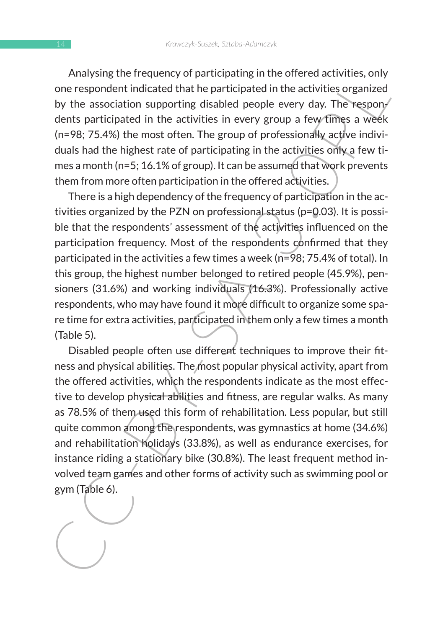Analysing the frequency of participating in the offered activities, only one respondent indicated that he participated in the activities organized by the association supporting disabled people every day. The respondents participated in the activities in every group a few times a week (n=98; 75.4%) the most often. The group of professionally active individuals had the highest rate of participating in the activities only a few times a month (n=5; 16.1% of group). It can be assumed that work prevents them from more often participation in the offered activities.

There is a high dependency of the frequency of participation in the activities organized by the PZN on professional status (p=0.03). It is possible that the respondents' assessment of the activities influenced on the participation frequency. Most of the respondents confirmed that they participated in the activities a few times a week (n=98; 75.4% of total). In this group, the highest number belonged to retired people (45.9%), pensioners (31.6%) and working individuals (16.3%). Professionally active respondents, who may have found it more difficult to organize some spare time for extra activities, participated in them only a few times a month (Table 5).

Alaysing the Frequency, Most of the practical state of activities, only consespondent indicated that he participated in the activities organized by the association supporting disabled people every day. The respondent indic Disabled people often use different techniques to improve their fitness and physical abilities. The most popular physical activity, apart from the offered activities, which the respondents indicate as the most effective to develop physical abilities and fitness, are regular walks. As many as 78.5% of them used this form of rehabilitation. Less popular, but still quite common among the respondents, was gymnastics at home (34.6%) and rehabilitation holidays (33.8%), as well as endurance exercises, for instance riding a stationary bike (30.8%). The least frequent method involved team games and other forms of activity such as swimming pool or gym (Table 6).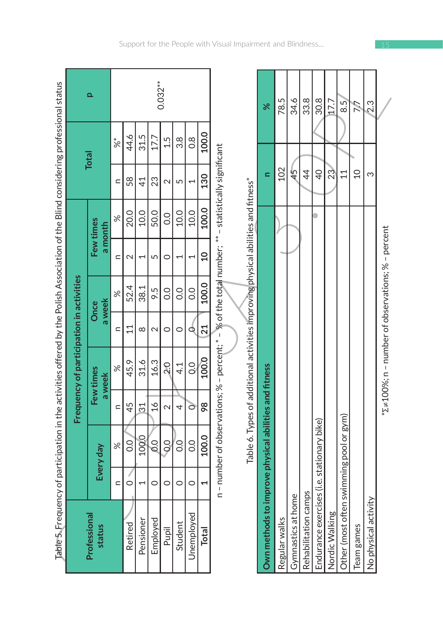| Table 5. Frequency of participation in the activities offered by the Polish Association of the Blind considering professional status |                                           |                                       |                 |                                                                                                    |                   |                |                          |                      |                          |               |            |
|--------------------------------------------------------------------------------------------------------------------------------------|-------------------------------------------|---------------------------------------|-----------------|----------------------------------------------------------------------------------------------------|-------------------|----------------|--------------------------|----------------------|--------------------------|---------------|------------|
|                                                                                                                                      |                                           |                                       |                 | Frequency of participation in activities                                                           |                   |                |                          |                      |                          |               |            |
| Professional<br>status                                                                                                               |                                           | Every day                             |                 | Few times<br>a week                                                                                | a week            | Once           |                          | Few times<br>a month |                          | <b>Total</b>  | ء          |
|                                                                                                                                      | $\subset$                                 | $\%$                                  | $\subset$       | $\%$                                                                                               | $\subset$         | $\%$           | C                        | X                    | C                        | %             |            |
| Retired                                                                                                                              | 0                                         | $\frac{0}{0}$                         | 45              | 45.9                                                                                               | 11                | 52.4           | $\mathbf 2$              | 20.0                 | 58                       | 44.6          |            |
| Pensioner                                                                                                                            | $\overline{ }$                            | 100.0                                 | $\overline{31}$ | 31.6                                                                                               | $\infty$          | 38.1           | 1                        | 10.0                 | $\overline{4}$           | 31.5          |            |
| Employed                                                                                                                             | 0                                         | 0.0                                   | $\frac{6}{1}$   | 16.3                                                                                               | $\mathbf{\Omega}$ | 9.5            | 5                        | 50.0                 | 23                       | 17.7          |            |
| Pupil                                                                                                                                | 0                                         | $\frac{1}{2}$                         | 2               | $\overline{20}$                                                                                    | $\circ$           | $\overline{0}$ | 0                        | $\overline{0}$       | 2                        | 1.5           | $0.032***$ |
| Student                                                                                                                              | $\circ$                                   | 0.O                                   | 4               | $\frac{1}{4}$                                                                                      | $\circ$           | $\overline{0}$ | 1                        | 10.0                 | 5                        | 3.8           |            |
| Unemployed                                                                                                                           | 0                                         | $\overline{0}$                        | Ō               | $\overline{O}$                                                                                     | Q                 | 0.0            | $\overline{\phantom{0}}$ | 10.0                 | $\overline{\phantom{0}}$ | $\frac{8}{2}$ |            |
| Total                                                                                                                                | J                                         | 100.0                                 | 98              | 100.0                                                                                              | 21                | 100.0          | $\overline{10}$          | 100.0                | 130                      | 100.0         |            |
|                                                                                                                                      |                                           |                                       |                 | n - number of observations; % - percent; * - % of the total number; ** - statistically significant |                   |                |                          |                      |                          |               |            |
|                                                                                                                                      |                                           |                                       |                 | Table 6. Types of additional activities improving physical abilities and fitness*                  |                   |                |                          |                      |                          |               |            |
| Own methods to i                                                                                                                     |                                           | mprove physical abilities and fitness |                 |                                                                                                    |                   |                |                          |                      | Ξ                        |               | ৯ৎ         |
| Regular walks                                                                                                                        |                                           |                                       |                 |                                                                                                    |                   |                |                          |                      | 102                      |               | 78.5       |
| Gymnastics at hon                                                                                                                    | $\overset{\mathsf{\tiny{0}}}{\mathsf{c}}$ |                                       |                 |                                                                                                    |                   |                |                          |                      | 45                       |               | 34.6       |
| Rehabilitation cam                                                                                                                   | salt                                      |                                       |                 |                                                                                                    |                   |                |                          |                      | $\overline{4}$           |               | 33.8       |
| Endurance exercises (i.e. stationary bike)                                                                                           |                                           |                                       |                 |                                                                                                    |                   |                |                          |                      | $\overline{Q}$           |               | 30.8       |
| Nordic Walking                                                                                                                       |                                           |                                       |                 |                                                                                                    |                   |                |                          |                      | 23                       |               | 17.7       |
| Other (most often                                                                                                                    |                                           | swimming pool or gym)                 |                 |                                                                                                    |                   |                |                          |                      | 11                       |               | 6.5        |
| Team games                                                                                                                           |                                           |                                       |                 |                                                                                                    |                   |                |                          |                      | $\Omega$                 |               | 7.7        |
| ≻<br>No physical activit                                                                                                             |                                           |                                       |                 |                                                                                                    |                   |                |                          |                      | ω                        |               | 2.3        |
|                                                                                                                                      |                                           |                                       |                 | $*2 \neq 100\%$ ; n – number of observations; % – percent                                          |                   |                |                          |                      |                          |               |            |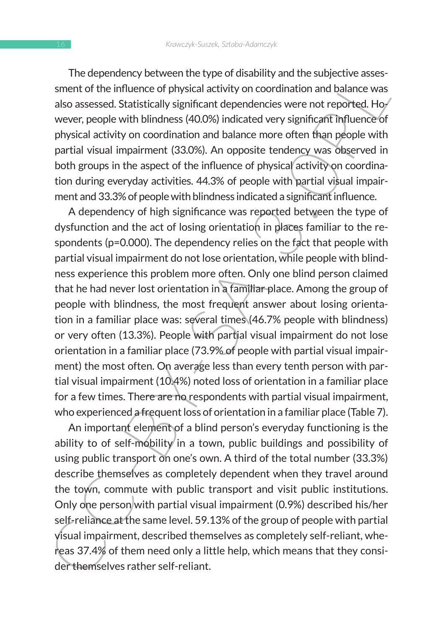The dependency between the type of disability and the subjective assessment of the influence of physical activity on coordination and balance was also assessed. Statistically significant dependencies were not reported. However, people with blindness (40.0%) indicated very significant influence of physical activity on coordination and balance more often than people with partial visual impairment (33.0%). An opposite tendency was observed in both groups in the aspect of the influence of physical activity on coordination during everyday activities. 44.3% of people with partial visual impairment and 33.3% of people with blindness indicated a significant influence.

ine dependenty between the type of unsaminy and une subjective assessed. Statistically significant dependencies were not reported. How were, people with blindness (40.0%) indicated very significant influence of physical a A dependency of high significance was reported between the type of dysfunction and the act of losing orientation in places familiar to the respondents (p=0.000). The dependency relies on the fact that people with partial visual impairment do not lose orientation, while people with blindness experience this problem more often. Only one blind person claimed that he had never lost orientation in a familiar place. Among the group of people with blindness, the most frequent answer about losing orientation in a familiar place was: several times (46.7% people with blindness) or very often (13.3%). People with partial visual impairment do not lose orientation in a familiar place (73.9% of people with partial visual impairment) the most often. On average less than every tenth person with partial visual impairment (10.4%) noted loss of orientation in a familiar place for a few times. There are no respondents with partial visual impairment, who experienced a frequent loss of orientation in a familiar place (Table 7).

An important element of a blind person's everyday functioning is the ability to of self-mobility in a town, public buildings and possibility of using public transport on one's own. A third of the total number (33.3%) describe themselves as completely dependent when they travel around the town, commute with public transport and visit public institutions. Only one person with partial visual impairment (0.9%) described his/her self-reliance at the same level. 59.13% of the group of people with partial visual impairment, described themselves as completely self-reliant, whereas 37.4% of them need only a little help, which means that they consider themselves rather self-reliant.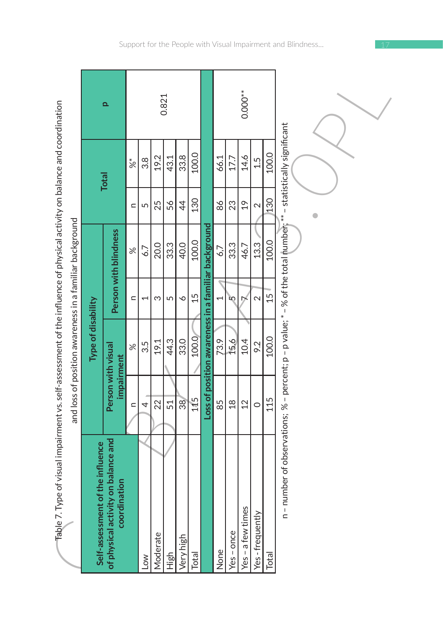| ׇ֚֘֡<br>֘֝֕ |  |
|-------------|--|
|             |  |
|             |  |
|             |  |
|             |  |
|             |  |
|             |  |
|             |  |
|             |  |
|             |  |
|             |  |
|             |  |
|             |  |
|             |  |
|             |  |
|             |  |
|             |  |
|             |  |
|             |  |
|             |  |
|             |  |
|             |  |
|             |  |
|             |  |
| l           |  |
|             |  |
|             |  |
| í           |  |
|             |  |
|             |  |
|             |  |
|             |  |
|             |  |
|             |  |
|             |  |
|             |  |
|             |  |
|             |  |
|             |  |
| ļ           |  |
| ı           |  |
|             |  |
| l           |  |
|             |  |
|             |  |
|             |  |
|             |  |
|             |  |
| l           |  |
|             |  |
|             |  |
|             |  |
|             |  |
|             |  |
|             |  |
|             |  |
|             |  |
| ׇ֚֓֡        |  |
|             |  |
|             |  |
|             |  |
| Ì           |  |
|             |  |
|             |  |
|             |  |
|             |  |
|             |  |
|             |  |
|             |  |
|             |  |
| ֚֘֝         |  |
| i           |  |
|             |  |
| Š           |  |
|             |  |
|             |  |
| j           |  |
|             |  |
| ļ           |  |
|             |  |
|             |  |
|             |  |
|             |  |
|             |  |
|             |  |
|             |  |
|             |  |
|             |  |
|             |  |
|             |  |
|             |  |
|             |  |
|             |  |
| ļ           |  |
|             |  |
| l           |  |
| ı           |  |
|             |  |
| l           |  |
| ĺ<br>ī<br>I |  |
| I           |  |
|             |  |
|             |  |

| Table 7. Type of visual impairment vs. self-assessment of the influence of physical activity on balance and coordination |                  | and loss of position awareness in a familiar background |                          |                       |                |               |           |
|--------------------------------------------------------------------------------------------------------------------------|------------------|---------------------------------------------------------|--------------------------|-----------------------|----------------|---------------|-----------|
| of the influence<br>Self-assessment                                                                                      |                  | Type of disability                                      |                          |                       |                |               |           |
| of physical activity on balance and<br>coordination                                                                      |                  | Person with visual<br>impairment                        |                          | Person with blindness |                | <b>Total</b>  | Q         |
|                                                                                                                          | $\subseteq$      | $\approx$                                               | $\subseteq$              | $\approx$             | $\subseteq$    | $\frac{*}{8}$ |           |
| $\sim$                                                                                                                   | 4                | 3.5                                                     | $\overline{\phantom{0}}$ | 6.7                   | 5              | 3.8           |           |
| Moderate                                                                                                                 | 22               | 19.1                                                    | S                        | 20.0                  | 25             | 19.2          |           |
| High                                                                                                                     | 51               | 44.3                                                    | 5                        | 33.3                  | 56             | 43.1          | 0.821     |
| Very high                                                                                                                | 38               | 33.0                                                    | P                        | 40.0                  | $\overline{4}$ | 33.8          |           |
| Total                                                                                                                    | 115              | 100.0                                                   | 15                       | 100.0                 | 130            | 100.0         |           |
|                                                                                                                          |                  | Loss of position awareness in a familiar background     |                          |                       |                |               |           |
| None                                                                                                                     | 85               | 73.9                                                    | 1                        | 6,7                   | 86             | 66.1          |           |
| $Yes - once$                                                                                                             | $\frac{8}{10}$   | 15.6                                                    | ĽΩ                       | 33.3                  | 23             | 17.7          |           |
| Yes - a few times                                                                                                        | $2 \overline{2}$ | 10.4                                                    | D                        | 46.7                  | $\frac{6}{1}$  | 14.6          | $0.000**$ |
| Yes-frequently                                                                                                           | $\circ$          | 9.2                                                     | $\mathbf{\sim}$          | 13.3                  | 2              | 1.5           |           |
| Total                                                                                                                    | 115              | 100.0                                                   | 15                       | 100.0                 | 130            | 100.0         |           |
| n – number of observations; % – percent; p – p value; * – % of the total number; ** – statistically significant          |                  |                                                         |                          |                       |                |               |           |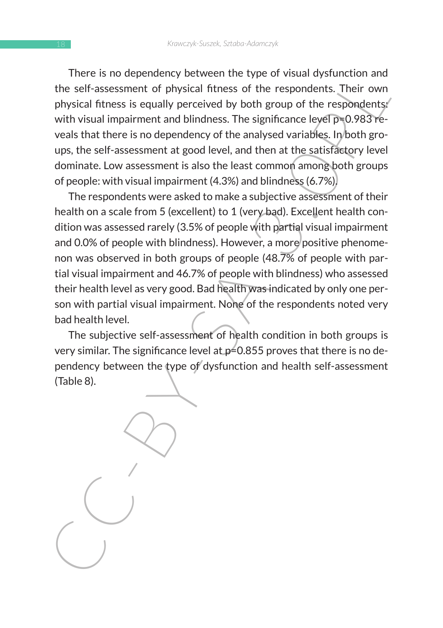There is no dependency between the type of visual dysfunction and the self-assessment of physical fitness of the respondents. Their own physical fitness is equally perceived by both group of the respondents: with visual impairment and blindness. The significance level p=0.983 reveals that there is no dependency of the analysed variables. In both groups, the self-assessment at good level, and then at the satisfactory level dominate. Low assessment is also the least common among both groups of people: with visual impairment (4.3%) and blindness (6.7%).

There is no dependents persever the type of vision system. The self-assessment of physical fitness of the respondents. Their own<br>physical fitness is equally perceived by both group of the respondents,<br>with visual imparimen The respondents were asked to make a subjective assessment of their health on a scale from 5 (excellent) to 1 (very bad). Excellent health condition was assessed rarely (3.5% of people with partial visual impairment and 0.0% of people with blindness). However, a more positive phenomenon was observed in both groups of people (48.7% of people with partial visual impairment and 46.7% of people with blindness) who assessed their health level as very good. Bad health was indicated by only one person with partial visual impairment. None of the respondents noted very bad health level.

The subjective self-assessment of health condition in both groups is very similar. The significance level at  $p=0.855$  proves that there is no dependency between the type of dysfunction and health self-assessment (Table 8).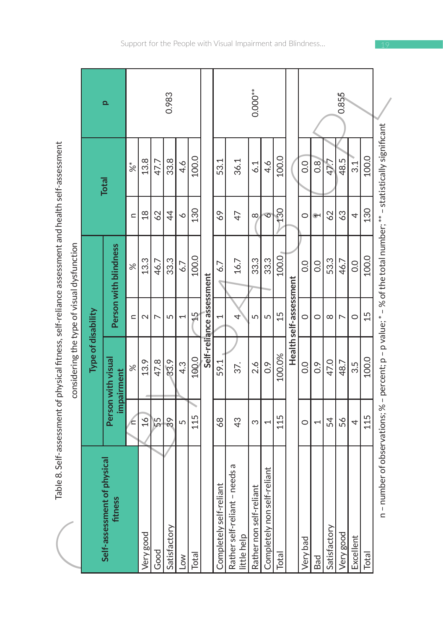| ،<br>ن                                                                                  |
|-----------------------------------------------------------------------------------------|
|                                                                                         |
|                                                                                         |
| la X Yait-accermant of physical fitnace, salt-railphea accermant and habith calt-accerm |
|                                                                                         |
| lqe]                                                                                    |

|                                                                                                   |                    | ء                                      |               |                 |               | 0.983          |     |       |                          |                         |                                                 | $0.000**$                    |                             |        |                        |              |                    |              | 0.855     |           |       |                                                                                                                 |
|---------------------------------------------------------------------------------------------------|--------------------|----------------------------------------|---------------|-----------------|---------------|----------------|-----|-------|--------------------------|-------------------------|-------------------------------------------------|------------------------------|-----------------------------|--------|------------------------|--------------|--------------------|--------------|-----------|-----------|-------|-----------------------------------------------------------------------------------------------------------------|
|                                                                                                   |                    | <b>Total</b>                           | $\sqrt[*]{8}$ | 13.8            | 47.7          | 33.8           | 4.6 | 100.0 |                          | 53.1                    | 36.1                                            | 6.1                          | 4.6                         | 100.0  |                        | 0.0          | 0.8                | 47.7         | 48.5      | 31        | 100.0 |                                                                                                                 |
|                                                                                                   |                    |                                        | $\mathbf{C}$  | $\frac{8}{18}$  | 62            | $\overline{4}$ | ∘   | 130   |                          | 69                      | 47                                              | $\infty$                     | $\overline{\circ}$          | 130    |                        | 0            | $\hat{\mathbf{r}}$ | 62           | 63        | 4         | 130   |                                                                                                                 |
| Table 8. Self-assessment of physical fitness, self-reliance assessment and health self-assessment |                    | Person with blindness                  | $\aleph$      | 13.3            | 46.7          | 33.3           | 6.7 | 100.0 |                          | 6.7                     | 16.7                                            | 33.3                         | 33.3                        | 100.0  |                        | $_{\rm 0.0}$ | 0.0                | 53.3         | 46.7      | 0.0       | 100.0 |                                                                                                                 |
|                                                                                                   |                    |                                        | $\subset$     | $\mathbf{\sim}$ | Þ             | 5              | H   | 싶     | Self-reliance assessment | 1                       | 4                                               | 5                            | 5                           | 15     | Health self-assessment | $\circ$      | $\circ$            | $\infty$     | ↖         | $\circ$   | 15    |                                                                                                                 |
| considering the type of visual dysfunction                                                        | Type of disability | Person with visual<br>impairment       | $\approx$     | 13.9            | 47.8          | 33.9           | 4.3 | 100.0 |                          | 59.1                    | 37.                                             | 2.6                          | $\frac{6}{2}$               | 100.0% |                        | 0.0          | $\frac{6}{2}$      | 47.0         | 48.7      | 3.5       | 100.0 |                                                                                                                 |
|                                                                                                   |                    |                                        | Æ             | 16 <sub>1</sub> | $\frac{5}{5}$ | 39             | 5   | 115   |                          | $\frac{8}{2}$           | 43                                              | S                            | $\overline{\phantom{0}}$    | 115    |                        | $\circ$      | $\overline{ }$     | 54           | 56        | 4         | 115   |                                                                                                                 |
|                                                                                                   |                    | Self-assessment of physical<br>fitness |               | Very good       | Good          | Satisfactory   | Low | Total |                          | Completely self-reliant | - needs a<br>Rather self-reliant<br>little help | liant<br>Rather non self-rel | Completely non self-reliant | Total  |                        | Very bad     | Bad                | Satisfactory | Very good | Excellent | Total | n – number of observations; % – percent; p – p value; * – % of the total number; ** – statistically significant |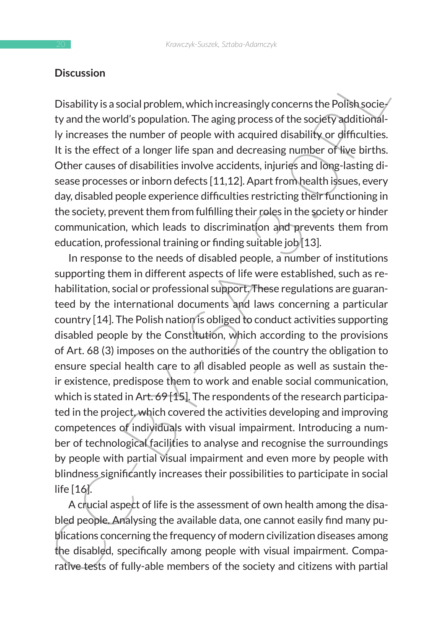#### **Discussion**

Disability is a social problem, which increasingly concerns the Polish socie- $\ell$ ty and the world's population. The aging process of the society additionally increases the number of people with acquired disability or difficulties. It is the effect of a longer life span and decreasing number of live births. Other causes of disabilities involve accidents, injuries and long-lasting disease processes or inborn defects [11,12]. Apart from health issues, every day, disabled people experience difficulties restricting their functioning in the society, prevent them from fulfilling their roles in the society or hinder communication, which leads to discrimination and prevents them from education, professional training or finding suitable job [13].

Discussion<br>
Disability is a social problem, which increasingly concerns the Polish sociel<br>
ty and the world's population. The aging process of the society additioned<br>
ly increases the number of people with acquired disabil In response to the needs of disabled people, a number of institutions supporting them in different aspects of life were established, such as rehabilitation, social or professional support. These regulations are guaranteed by the international documents and laws concerning a particular country [14]. The Polish nation is obliged to conduct activities supporting disabled people by the Constitution, which according to the provisions of Art. 68 (3) imposes on the authorities of the country the obligation to ensure special health care to all disabled people as well as sustain their existence, predispose them to work and enable social communication, which is stated in Art. 69 [15]. The respondents of the research participated in the project, which covered the activities developing and improving competences of individuals with visual impairment. Introducing a number of technological facilities to analyse and recognise the surroundings by people with partial visual impairment and even more by people with blindness significantly increases their possibilities to participate in social life [16].

A crucial aspect of life is the assessment of own health among the disabled people. Analysing the available data, one cannot easily find many publications concerning the frequency of modern civilization diseases among the disabled, specifically among people with visual impairment. Comparative tests of fully-able members of the society and citizens with partial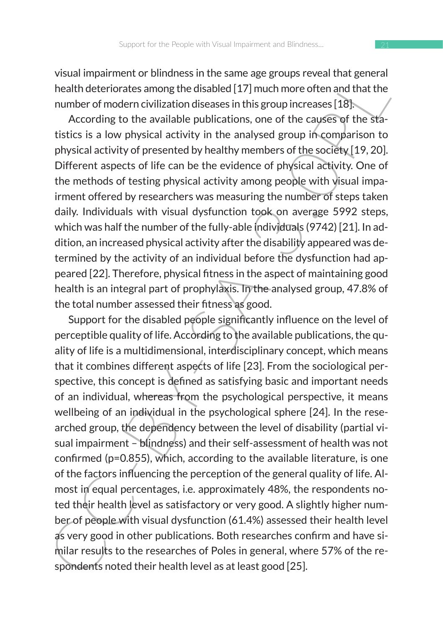visual impairment or blindness in the same age groups reveal that general health deteriorates among the disabled [17] much more often and that the number of modern civilization diseases in this group increases [18].

According to the available publications, one of the causes of the statistics is a low physical activity in the analysed group in comparison to physical activity of presented by healthy members of the society [19, 20]. Different aspects of life can be the evidence of physical activity. One of the methods of testing physical activity among people with visual impairment offered by researchers was measuring the number of steps taken daily. Individuals with visual dysfunction took on average 5992 steps, which was half the number of the fully-able individuals (9742) [21]. In addition, an increased physical activity after the disability appeared was determined by the activity of an individual before the dysfunction had appeared [22]. Therefore, physical fitness in the aspect of maintaining good health is an integral part of prophylaxis. In the analysed group, 47.8% of the total number assessed their fitness as good.

visual minimum to uniterative the same age groups reveal that general and the health deteriorates among the disabled [17] much more often and that the number of modern civilization diseases in this group increases [18]. A Support for the disabled people significantly influence on the level of perceptible quality of life. According to the available publications, the quality of life is a multidimensional, interdisciplinary concept, which means that it combines different aspects of life [23]. From the sociological perspective, this concept is defined as satisfying basic and important needs of an individual, whereas from the psychological perspective, it means wellbeing of an individual in the psychological sphere [24]. In the researched group, the dependency between the level of disability (partial visual impairment – blindness) and their self-assessment of health was not confirmed (p=0.855), which, according to the available literature, is one of the factors influencing the perception of the general quality of life. Almost in equal percentages, i.e. approximately 48%, the respondents noted their health level as satisfactory or very good. A slightly higher number of people with visual dysfunction (61.4%) assessed their health level as very good in other publications. Both researches confirm and have similar results to the researches of Poles in general, where 57% of the respondents noted their health level as at least good [25].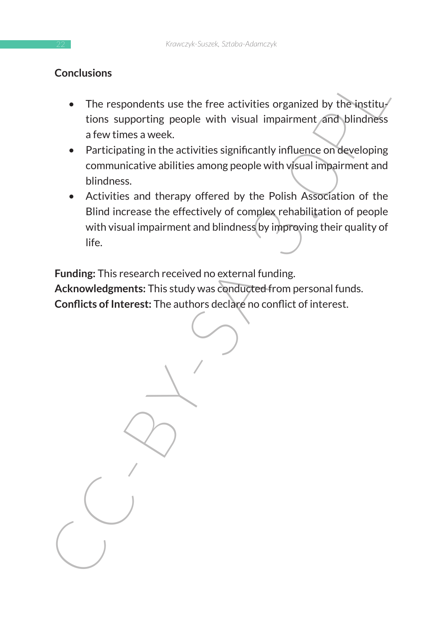# **Conclusions**

- The respondents use the free activities organized by the institutions supporting people with visual impairment and blindness a few times a week.
- Participating in the activities significantly influence on developing communicative abilities among people with visual impairment and blindness.
- Activities and therapy offered by the Polish Association of the Blind increase the effectively of complex rehabilitation of people with visual impairment and blindness by improving their quality of life.

**Funding:** This research received no external funding.

**Acknowledgments:** This study was conducted from personal funds. **Conflicts of Interest:** The authors declare no conflict of interest.

Concusions<br>
The respondents use the free activities inspairant and by the institution<br>
tions supporting people with visual impairment and blindness<br>
a few times a week.<br>
Participating in the activities significantly influe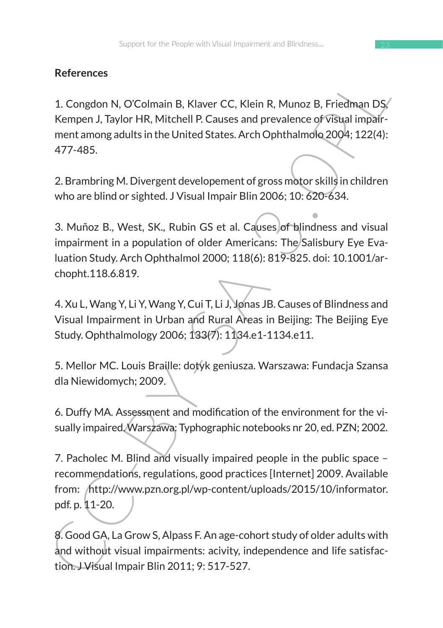# **References**

1. Congdon N, O'Colmain B, Klaver CC, Klein R, Munoz B, Friedman DS, Kempen J, Taylor HR, Mitchell P. Causes and prevalence of visual impairment among adults in the United States. Arch Ophthalmolo 2004; 122(4): 477-485.

2. Brambring M. Divergent developement of gross motor skills in children who are blind or sighted. J Visual Impair Blin 2006; 10: 620-634.

References<br>
1. Congdon N, O'Colmain B, Klaver CC, Klein R, Munoz B, Friedman DS;<br>
Kempen J, Taylor HR, Mitchell P. Causes and prevalence of vistage impari-<br>
ment among adults in the United States. Arch Ophthalmolo 2004: 12 3. Muñoz B., West, SK., Rubin GS et al. Causes of blindness and visual impairment in a population of older Americans: The Salisbury Eye Evaluation Study. Arch Ophthalmol 2000; 118(6): 819-825. doi: 10.1001/archopht.118.6.819.

4. Xu L, Wang Y, Li Y, Wang Y, Cui T, Li J, Jonas JB. Causes of Blindness and Visual Impairment in Urban and Rural Areas in Beijing: The Beijing Eye Study. Ophthalmology 2006; 133(7): 1134.e1-1134.e11.

5. Mellor MC. Louis Braille: dotyk geniusza. Warszawa: Fundacja Szansa dla Niewidomych; 2009.

6. Duffy MA. Assessment and modification of the environment for the visually impaired. Warszawa: Typhographic notebooks nr 20, ed. PZN; 2002.

7. Pacholec M. Blind and visually impaired people in the public space – recommendations, regulations, good practices [Internet] 2009. Available from: http://www.pzn.org.pl/wp-content/uploads/2015/10/informator. pdf. p. 11-20.

8. Good GA, La Grow S, Alpass F. An age-cohort study of older adults with and without visual impairments: acivity, independence and life satisfaction. J Visual Impair Blin 2011; 9: 517-527.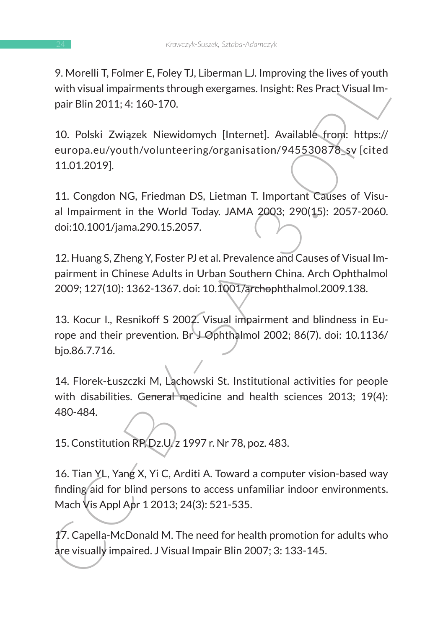9. Morelli T, Folmer E, Foley TJ, Liberman LJ. Improving the lives of youth with visual impairments through exergames. Insight: Res Pract Visual Impair Blin 2011; 4: 160-170.

9. Houten 1, rounter r, rough J. Listensin L. Improving the lives of youture<br>
with Visual impairments through exergames. Insight: Res Pract Visual Impair Blin 2011; 4: 160-170.<br>
10. Polski Związek Niewidomych [Internet]. A 10. Polski Związek Niewidomych [Internet]. Available from: https:// europa.eu/youth/volunteering/organisation/945530878\_sv [cited 11.01.2019].

11. Congdon NG, Friedman DS, Lietman T. Important Causes of Visual Impairment in the World Today. JAMA 2003; 290(15): 2057-2060. doi:10.1001/jama.290.15.2057.

12. Huang S, Zheng Y, Foster PJ et al. Prevalence and Causes of Visual Impairment in Chinese Adults in Urban Southern China. Arch Ophthalmol 2009; 127(10): 1362-1367. doi: 10.1001/archophthalmol.2009.138.

13. Kocur I., Resnikoff S 2002. Visual impairment and blindness in Europe and their prevention. Br J Ophthalmol 2002; 86(7). doi: 10.1136/ bjo.86.7.716.

14. Florek-Łuszczki M, Lachowski St. Institutional activities for people with disabilities. General medicine and health sciences 2013; 19(4): 480-484.

15. Constitution RP, Dz.U. z 1997 r. Nr 78, poz. 483.

16. Tian YL, Yang X, Yi C, Arditi A. Toward a computer vision-based way finding aid for blind persons to access unfamiliar indoor environments. Mach Vis Appl Apr 1 2013; 24(3): 521-535.

17. Capella-McDonald M. The need for health promotion for adults who are visually impaired. J Visual Impair Blin 2007; 3: 133-145.